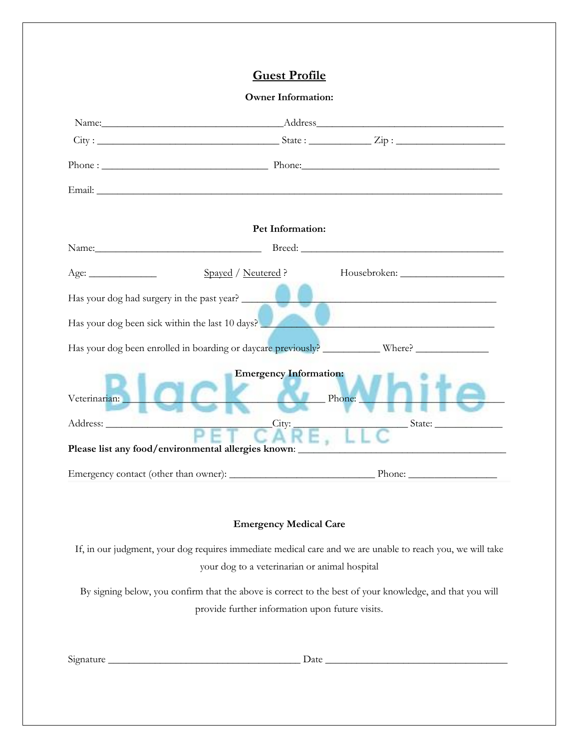## **Guest Profile**

## **Owner Information:**

|                                                                                                                                                                                                                                                |                                                                                               | Name: Address Address Address Address Address Address Address Address Address Address Address Address Address Address Address Address Address Address Address Address Address Address Address Address Address Address Address                                                                                                                                             |
|------------------------------------------------------------------------------------------------------------------------------------------------------------------------------------------------------------------------------------------------|-----------------------------------------------------------------------------------------------|---------------------------------------------------------------------------------------------------------------------------------------------------------------------------------------------------------------------------------------------------------------------------------------------------------------------------------------------------------------------------|
|                                                                                                                                                                                                                                                |                                                                                               | $\textrm{City}:$ $\frac{1}{\sqrt{2}}$ $\frac{1}{\sqrt{2}}$ $\frac{1}{\sqrt{2}}$ $\frac{1}{\sqrt{2}}$ $\frac{1}{\sqrt{2}}$ $\frac{1}{\sqrt{2}}$ $\frac{1}{\sqrt{2}}$ $\frac{1}{\sqrt{2}}$ $\frac{1}{\sqrt{2}}$ $\frac{1}{\sqrt{2}}$ $\frac{1}{\sqrt{2}}$ $\frac{1}{\sqrt{2}}$ $\frac{1}{\sqrt{2}}$ $\frac{1}{\sqrt{2}}$ $\frac{1}{\sqrt{2}}$ $\frac{1}{\sqrt{2}}$ $\frac{$ |
|                                                                                                                                                                                                                                                |                                                                                               |                                                                                                                                                                                                                                                                                                                                                                           |
|                                                                                                                                                                                                                                                |                                                                                               |                                                                                                                                                                                                                                                                                                                                                                           |
|                                                                                                                                                                                                                                                | Pet Information:                                                                              |                                                                                                                                                                                                                                                                                                                                                                           |
|                                                                                                                                                                                                                                                |                                                                                               | Breed: <u>Financial Communication</u>                                                                                                                                                                                                                                                                                                                                     |
| Age:                                                                                                                                                                                                                                           | Spayed / Neutered ?                                                                           |                                                                                                                                                                                                                                                                                                                                                                           |
|                                                                                                                                                                                                                                                | Has your dog had surgery in the past year?                                                    |                                                                                                                                                                                                                                                                                                                                                                           |
|                                                                                                                                                                                                                                                | Has your dog been sick within the last 10 days?                                               |                                                                                                                                                                                                                                                                                                                                                                           |
|                                                                                                                                                                                                                                                |                                                                                               | Has your dog been enrolled in boarding or daycare previously? ____________ Where? _________________                                                                                                                                                                                                                                                                       |
| Veterinarian:<br>Address: No. 1986. Address: No. 1986. Address: No. 1986. Address: No. 1987. Address: No. 1987. Address: No. 1987. Address: No. 1987. Address: No. 1988. Address: No. 1988. Address: No. 1988. Address: No. 1988. Address: No. | <b>Emergency Information:</b><br>City:<br>Please list any food/environmental allergies known: | Phone:                                                                                                                                                                                                                                                                                                                                                                    |
|                                                                                                                                                                                                                                                |                                                                                               |                                                                                                                                                                                                                                                                                                                                                                           |
|                                                                                                                                                                                                                                                |                                                                                               |                                                                                                                                                                                                                                                                                                                                                                           |
|                                                                                                                                                                                                                                                | <b>Emergency Medical Care</b>                                                                 |                                                                                                                                                                                                                                                                                                                                                                           |
|                                                                                                                                                                                                                                                |                                                                                               |                                                                                                                                                                                                                                                                                                                                                                           |

If, in our judgment, your dog requires immediate medical care and we are unable to reach you, we will take your dog to a veterinarian or animal hospital

By signing below, you confirm that the above is correct to the best of your knowledge, and that you will provide further information upon future visits.

 $Signature$   $\qquad \qquad$   $\qquad \qquad$   $\qquad \qquad$   $\qquad \qquad$   $Date$   $\qquad \qquad$   $\qquad \qquad$   $\qquad \qquad$   $\qquad \qquad$   $\qquad \qquad$   $\qquad \qquad$   $\qquad \qquad$   $\qquad \qquad$   $\qquad \qquad$   $\qquad \qquad$   $\qquad \qquad$   $\qquad \qquad$   $\qquad \qquad$   $\qquad \qquad$   $\qquad \qquad$   $\qquad \qquad$   $\qquad \qquad$   $\qquad \qquad$   $\qquad$   $\qquad \qquad$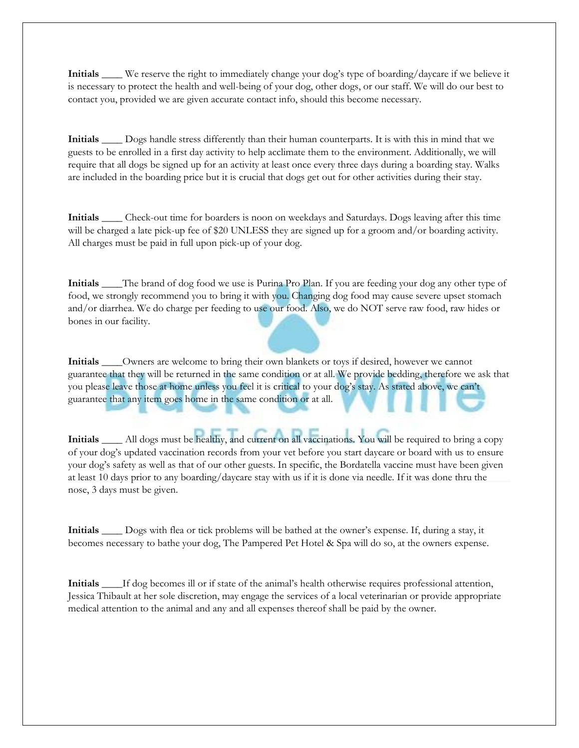**Initials \_\_\_\_** We reserve the right to immediately change your dog's type of boarding/daycare if we believe it is necessary to protect the health and well-being of your dog, other dogs, or our staff. We will do our best to contact you, provided we are given accurate contact info, should this become necessary.

**Initials \_\_\_\_** Dogs handle stress differently than their human counterparts. It is with this in mind that we guests to be enrolled in a first day activity to help acclimate them to the environment. Additionally, we will require that all dogs be signed up for an activity at least once every three days during a boarding stay. Walks are included in the boarding price but it is crucial that dogs get out for other activities during their stay.

**Initials \_\_\_\_** Check-out time for boarders is noon on weekdays and Saturdays. Dogs leaving after this time will be charged a late pick-up fee of \$20 UNLESS they are signed up for a groom and/or boarding activity. All charges must be paid in full upon pick-up of your dog.

**Initials \_\_\_\_**The brand of dog food we use is Purina Pro Plan. If you are feeding your dog any other type of food, we strongly recommend you to bring it with you. Changing dog food may cause severe upset stomach and/or diarrhea. We do charge per feeding to use our food. Also, we do NOT serve raw food, raw hides or bones in our facility.

**Initials \_\_\_\_**Owners are welcome to bring their own blankets or toys if desired, however we cannot guarantee that they will be returned in the same condition or at all. We provide bedding, therefore we ask that you please leave those at home unless you feel it is critical to your dog's stay. As stated above, we can't guarantee that any item goes home in the same condition or at all.

**Initials \_\_\_\_** All dogs must be healthy, and current on all vaccinations. You will be required to bring a copy of your dog's updated vaccination records from your vet before you start daycare or board with us to ensure your dog's safety as well as that of our other guests. In specific, the Bordatella vaccine must have been given at least 10 days prior to any boarding/daycare stay with us if it is done via needle. If it was done thru the nose, 3 days must be given.

**Initials \_\_\_\_** Dogs with flea or tick problems will be bathed at the owner's expense. If, during a stay, it becomes necessary to bathe your dog, The Pampered Pet Hotel & Spa will do so, at the owners expense.

**Initials \_\_\_\_**If dog becomes ill or if state of the animal's health otherwise requires professional attention, Jessica Thibault at her sole discretion, may engage the services of a local veterinarian or provide appropriate medical attention to the animal and any and all expenses thereof shall be paid by the owner.